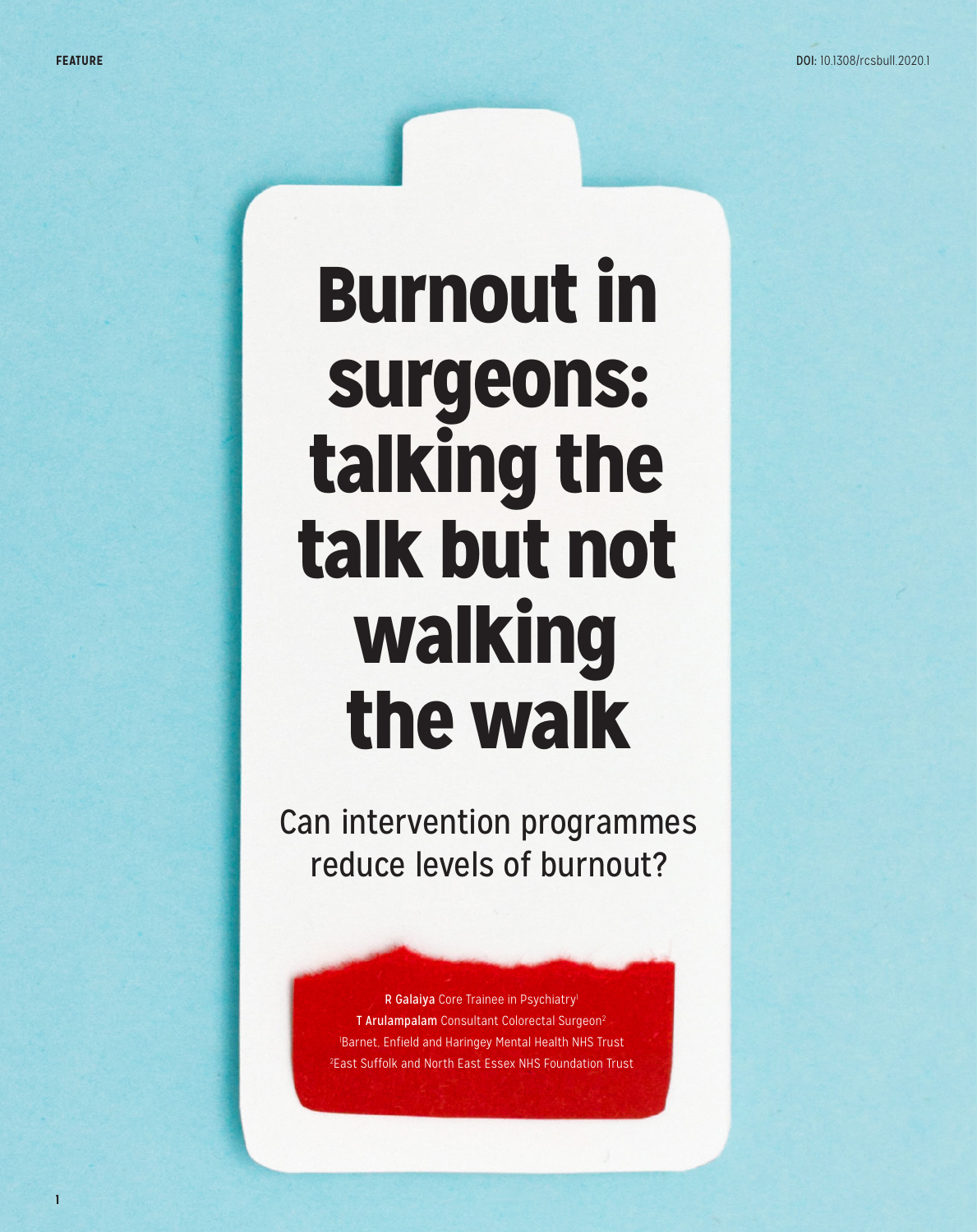**1**

## Burnout in surgeons: talking the talk but not walking the walk

Can intervention programmes reduce levels of burnout?

> R Galaiya Core Trainee in Psychiatry<sup>1</sup> T Arulampalam Consultant Colorectal Surgeon<sup>2</sup> 1 Barnet, Enfield and Haringey Mental Health NHS Trust 2 East Suffolk and North East Essex NHS Foundation Trust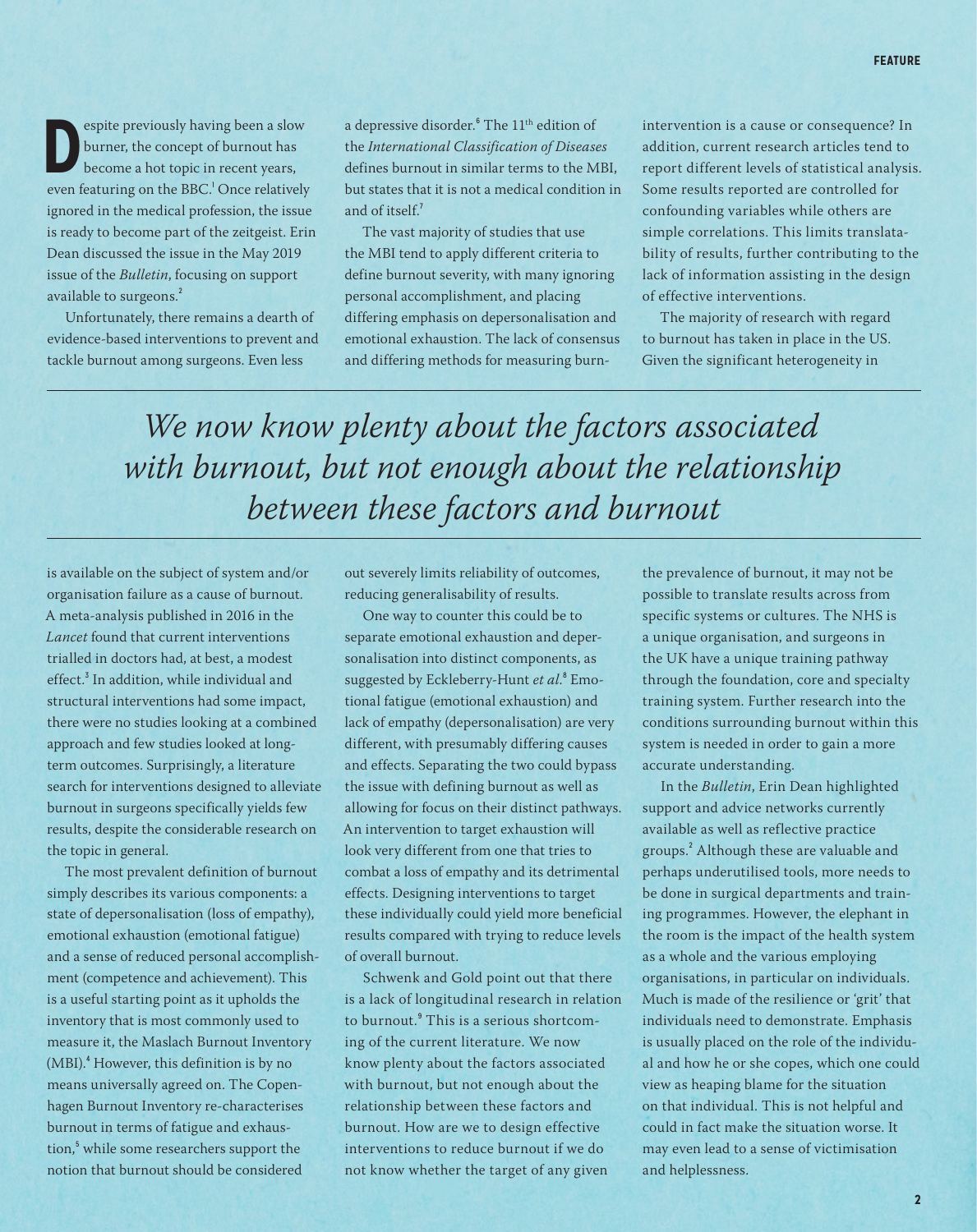**Despite previously having been a slow<br>burner, the concept of burnout has<br>become a hot topic in recent years,<br>even featuring on the BBC<sup>1</sup> Once relatively** burner, the concept of burnout has become a hot topic in recent years, even featuring on the BBC.<sup>1</sup> Once relatively ignored in the medical profession, the issue is ready to become part of the zeitgeist. Erin Dean discussed the issue in the May 2019 issue of the *Bulletin*, focusing on support available to surgeons.<sup>2</sup>

Unfortunately, there remains a dearth of evidence-based interventions to prevent and tackle burnout among surgeons. Even less

a depressive disorder.<sup>6</sup> The 11<sup>th</sup> edition of the *International Classification of Diseases* defines burnout in similar terms to the MBI, but states that it is not a medical condition in and of itself.<sup>7</sup>

The vast majority of studies that use the MBI tend to apply different criteria to define burnout severity, with many ignoring personal accomplishment, and placing differing emphasis on depersonalisation and emotional exhaustion. The lack of consensus and differing methods for measuring burnintervention is a cause or consequence? In addition, current research articles tend to report different levels of statistical analysis. Some results reported are controlled for confounding variables while others are simple correlations. This limits translatability of results, further contributing to the lack of information assisting in the design of effective interventions.

The majority of research with regard to burnout has taken in place in the US. Given the significant heterogeneity in

*We now know plenty about the factors associated with burnout, but not enough about the relationship between these factors and burnout*

is available on the subject of system and/or organisation failure as a cause of burnout. A meta-analysis published in 2016 in the *Lancet* found that current interventions trialled in doctors had, at best, a modest effect.<sup>3</sup> In addition, while individual and structural interventions had some impact, there were no studies looking at a combined approach and few studies looked at longterm outcomes. Surprisingly, a literature search for interventions designed to alleviate burnout in surgeons specifically yields few results, despite the considerable research on the topic in general.

The most prevalent definition of burnout simply describes its various components: a state of depersonalisation (loss of empathy), emotional exhaustion (emotional fatigue) and a sense of reduced personal accomplishment (competence and achievement). This is a useful starting point as it upholds the inventory that is most commonly used to measure it, the Maslach Burnout Inventory (MBI).<sup>4</sup> However, this definition is by no means universally agreed on. The Copenhagen Burnout Inventory re-characterises burnout in terms of fatigue and exhaustion,<sup>5</sup> while some researchers support the notion that burnout should be considered

out severely limits reliability of outcomes, reducing generalisability of results.

One way to counter this could be to separate emotional exhaustion and depersonalisation into distinct components, as suggested by Eckleberry-Hunt et al.<sup>8</sup> Emotional fatigue (emotional exhaustion) and lack of empathy (depersonalisation) are very different, with presumably differing causes and effects. Separating the two could bypass the issue with defining burnout as well as allowing for focus on their distinct pathways. An intervention to target exhaustion will look very different from one that tries to combat a loss of empathy and its detrimental effects. Designing interventions to target these individually could yield more beneficial results compared with trying to reduce levels of overall burnout.

Schwenk and Gold point out that there is a lack of longitudinal research in relation to burnout.<sup>9</sup> This is a serious shortcoming of the current literature. We now know plenty about the factors associated with burnout, but not enough about the relationship between these factors and burnout. How are we to design effective interventions to reduce burnout if we do not know whether the target of any given

the prevalence of burnout, it may not be possible to translate results across from specific systems or cultures. The NHS is a unique organisation, and surgeons in the UK have a unique training pathway through the foundation, core and specialty training system. Further research into the conditions surrounding burnout within this system is needed in order to gain a more accurate understanding.

In the *Bulletin*, Erin Dean highlighted support and advice networks currently available as well as reflective practice groups.<sup>2</sup> Although these are valuable and perhaps underutilised tools, more needs to be done in surgical departments and training programmes. However, the elephant in the room is the impact of the health system as a whole and the various employing organisations, in particular on individuals. Much is made of the resilience or 'grit' that individuals need to demonstrate. Emphasis is usually placed on the role of the individual and how he or she copes, which one could view as heaping blame for the situation on that individual. This is not helpful and could in fact make the situation worse. It may even lead to a sense of victimisation and helplessness.